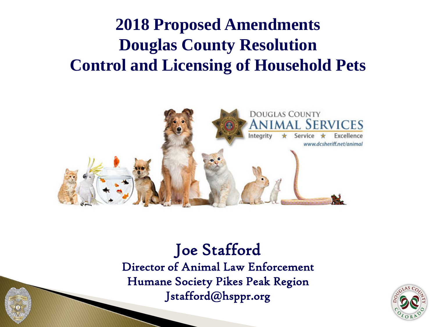#### **2018 Proposed Amendments Douglas County Resolution Control and Licensing of Household Pets**



#### Joe Stafford Director of Animal Law Enforcement Humane Society Pikes Peak Region Jstafford@hsppr.org

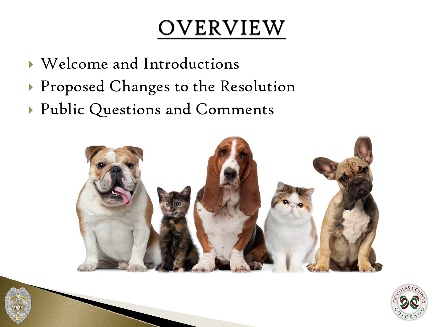#### OVERVIEW

- Welcome and Introductions
- Proposed Changes to the Resolution
- Public Questions and Comments



![](_page_1_Picture_5.jpeg)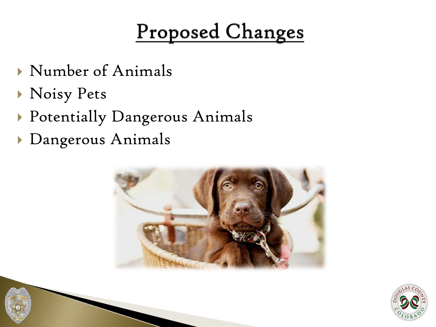#### Proposed Changes

- Number of Animals
- Noisy Pets
- Potentially Dangerous Animals
- Dangerous Animals

![](_page_2_Picture_5.jpeg)

![](_page_2_Picture_6.jpeg)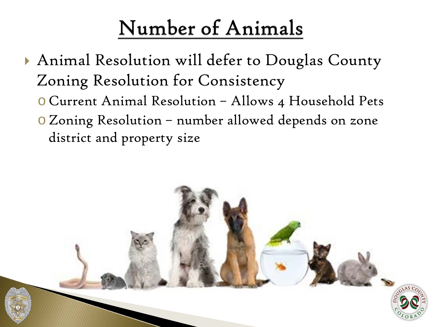### Number of Animals

- Animal Resolution will defer to Douglas County Zoning Resolution for Consistency
	- o Current Animal Resolution Allows 4 Household Pets
	- oZoning Resolution number allowed depends on zone district and property size

![](_page_3_Picture_4.jpeg)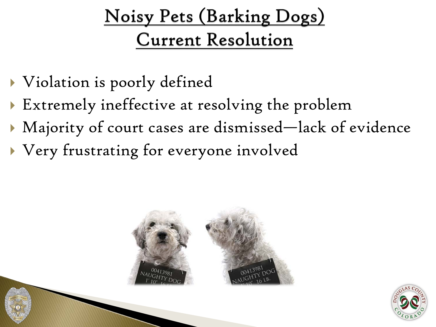#### Noisy Pets (Barking Dogs) **Current Resolution**

- Violation is poorly defined
- Extremely ineffective at resolving the problem
- Majority of court cases are dismissed—lack of evidence
- Very frustrating for everyone involved

![](_page_4_Picture_5.jpeg)

![](_page_4_Picture_6.jpeg)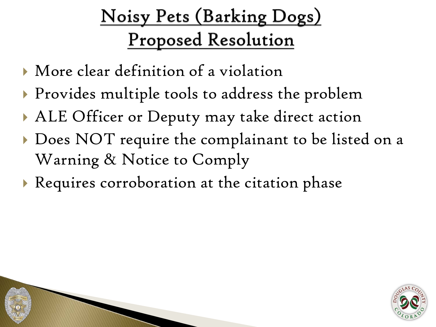#### Noisy Pets (Barking Dogs) **Proposed Resolution**

- More clear definition of a violation
- **Provides multiple tools to address the problem**
- ALE Officer or Deputy may take direct action
- Does NOT require the complainant to be listed on a Warning & Notice to Comply
- Requires corroboration at the citation phase

![](_page_5_Picture_6.jpeg)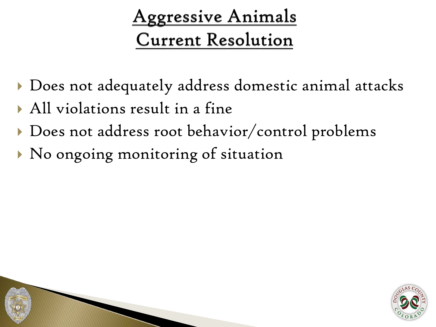#### **Aggressive Animals Current Resolution**

- Does not adequately address domestic animal attacks
- All violations result in a fine
- Does not address root behavior/control problems
- No ongoing monitoring of situation

![](_page_6_Picture_5.jpeg)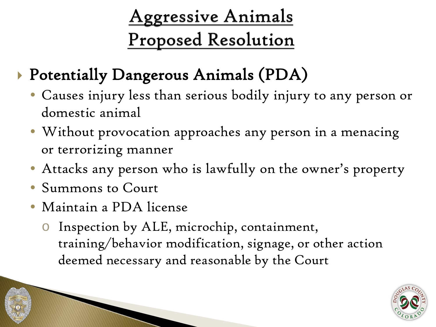#### **Aggressive Animals Proposed Resolution**

- Potentially Dangerous Animals (PDA)
	- Causes injury less than serious bodily injury to any person or domestic animal
	- Without provocation approaches any person in a menacing or terrorizing manner
	- Attacks any person who is lawfully on the owner's property
	- Summons to Court
	- Maintain a PDA license
		- o Inspection by ALE, microchip, containment, training/behavior modification, signage, or other action deemed necessary and reasonable by the Court

![](_page_7_Picture_8.jpeg)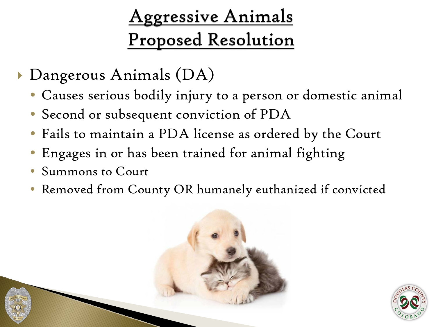#### **Aggressive Animals Proposed Resolution**

- Dangerous Animals (DA)
	- Causes serious bodily injury to a person or domestic animal
	- Second or subsequent conviction of PDA
	- Fails to maintain a PDA license as ordered by the Court
	- Engages in or has been trained for animal fighting
	- Summons to Court
	- Removed from County OR humanely euthanized if convicted

![](_page_8_Picture_8.jpeg)

![](_page_8_Picture_9.jpeg)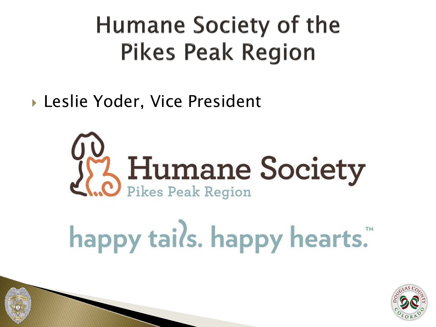## **Humane Society of the Pikes Peak Region**

▶ Leslie Yoder, Vice President

![](_page_9_Picture_2.jpeg)

# happy tails. happy hearts.™

![](_page_9_Picture_4.jpeg)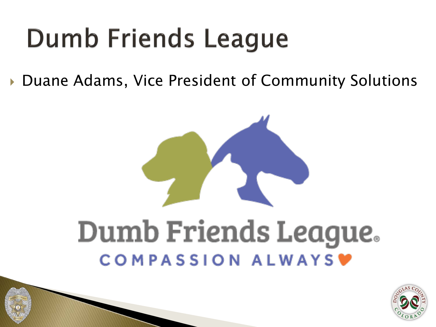## **Dumb Friends League**

▶ Duane Adams, Vice President of Community Solutions

![](_page_10_Picture_2.jpeg)

![](_page_10_Picture_3.jpeg)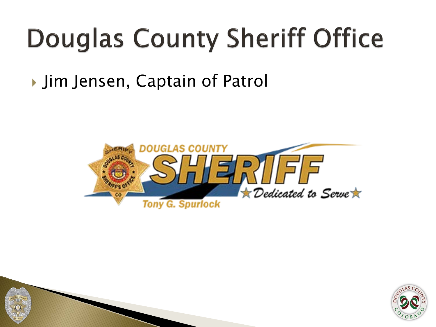## **Douglas County Sheriff Office**

#### ▶ Jim Jensen, Captain of Patrol

![](_page_11_Picture_2.jpeg)

![](_page_11_Picture_3.jpeg)

![](_page_11_Picture_4.jpeg)